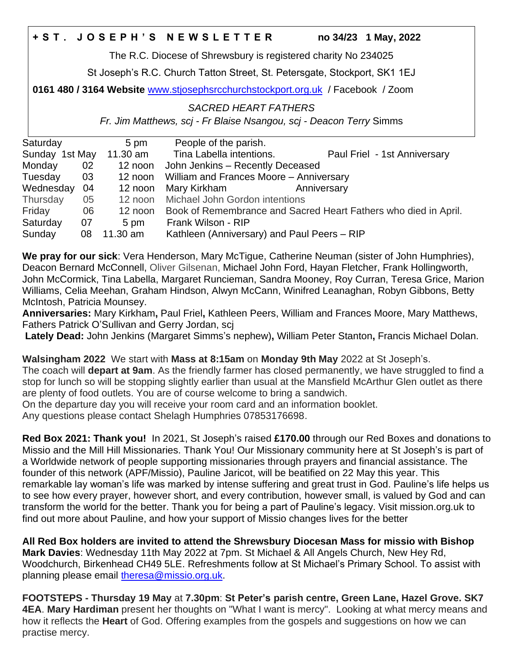## **+ S T . J O S E P H ' S N E W S L E T T E R no 34/23 1 May, 2022**

The R.C. Diocese of Shrewsbury is registered charity No 234025

St Joseph's R.C. Church Tatton Street, St. Petersgate, Stockport, SK1 1EJ

**0161 480 / 3164 Website** [www.stjosephsrcchurchstockport.org.uk](http://www.stjosephsrcchurchstockport.org.uk/) / Facebook / Zoom

## *SACRED HEART FATHERS*

*Fr. Jim Matthews, scj - Fr Blaise Nsangou, scj - Deacon Terry* Simms

| Saturday       |            | 5 pm     | People of the parish.                                           |                              |
|----------------|------------|----------|-----------------------------------------------------------------|------------------------------|
| Sunday 1st May |            | 11.30 am | Tina Labella intentions.                                        | Paul Friel - 1st Anniversary |
| Monday         | 02         | 12 noon  | John Jenkins - Recently Deceased                                |                              |
| Tuesday        | 03         | 12 noon  | William and Frances Moore - Anniversary                         |                              |
| Wednesday      | $\cdot$ 04 | 12 noon  | Mary Kirkham                                                    | Anniversary                  |
| Thursday       | 05         |          | 12 noon Michael John Gordon intentions                          |                              |
| Friday         | 06         | 12 noon  | Book of Remembrance and Sacred Heart Fathers who died in April. |                              |
| Saturday       | 07         | 5 pm     | Frank Wilson - RIP                                              |                              |
| Sunday         | 08         | 11.30 am | Kathleen (Anniversary) and Paul Peers - RIP                     |                              |

**We pray for our sick**: Vera Henderson, Mary McTigue, Catherine Neuman (sister of John Humphries), Deacon Bernard McConnell, Oliver Gilsenan, Michael John Ford, Hayan Fletcher, Frank Hollingworth, John McCormick, Tina Labella, Margaret Runcieman, Sandra Mooney, Roy Curran, Teresa Grice, Marion Williams, Celia Meehan, Graham Hindson, Alwyn McCann, Winifred Leanaghan, Robyn Gibbons, Betty McIntosh, Patricia Mounsey.

**Anniversaries:** Mary Kirkham**,** Paul Friel**,** Kathleen Peers, William and Frances Moore, Mary Matthews, Fathers Patrick O'Sullivan and Gerry Jordan, scj

**Lately Dead:** John Jenkins (Margaret Simms's nephew)**,** William Peter Stanton**,** Francis Michael Dolan.

**Walsingham 2022** We start with **Mass at 8:15am** on **Monday 9th May** 2022 at St Joseph's. The coach will **depart at 9am**. As the friendly farmer has closed permanently, we have struggled to find a stop for lunch so will be stopping slightly earlier than usual at the Mansfield McArthur Glen outlet as there are plenty of food outlets. You are of course welcome to bring a sandwich.

On the departure day you will receive your room card and an information booklet.

Any questions please contact Shelagh Humphries 07853176698.

**Red Box 2021: Thank you!** In 2021, St Joseph's raised **£170.00** through our Red Boxes and donations to Missio and the Mill Hill Missionaries. Thank You! Our Missionary community here at St Joseph's is part of a Worldwide network of people supporting missionaries through prayers and financial assistance. The founder of this network (APF/Missio), Pauline Jaricot, will be beatified on 22 May this year. This remarkable lay woman's life was marked by intense suffering and great trust in God. Pauline's life helps us to see how every prayer, however short, and every contribution, however small, is valued by God and can transform the world for the better. Thank you for being a part of Pauline's legacy. Visit mission.org.uk to find out more about Pauline, and how your support of Missio changes lives for the better

**All Red Box holders are invited to attend the Shrewsbury Diocesan Mass for missio with Bishop Mark Davies**: Wednesday 11th May 2022 at 7pm. St Michael & All Angels Church, New Hey Rd, Woodchurch, Birkenhead CH49 5LE. Refreshments follow at St Michael's Primary School. To assist with planning please email [theresa@missio.org.uk.](mailto:theresa@missio.org.uk)

**FOOTSTEPS - Thursday 19 May** at **7.30pm**: **St Peter's parish centre, Green Lane, Hazel Grove. SK7 4EA**. **Mary Hardiman** present her thoughts on "What I want is mercy". Looking at what mercy means and how it reflects the **Heart** of God. Offering examples from the gospels and suggestions on how we can practise mercy.